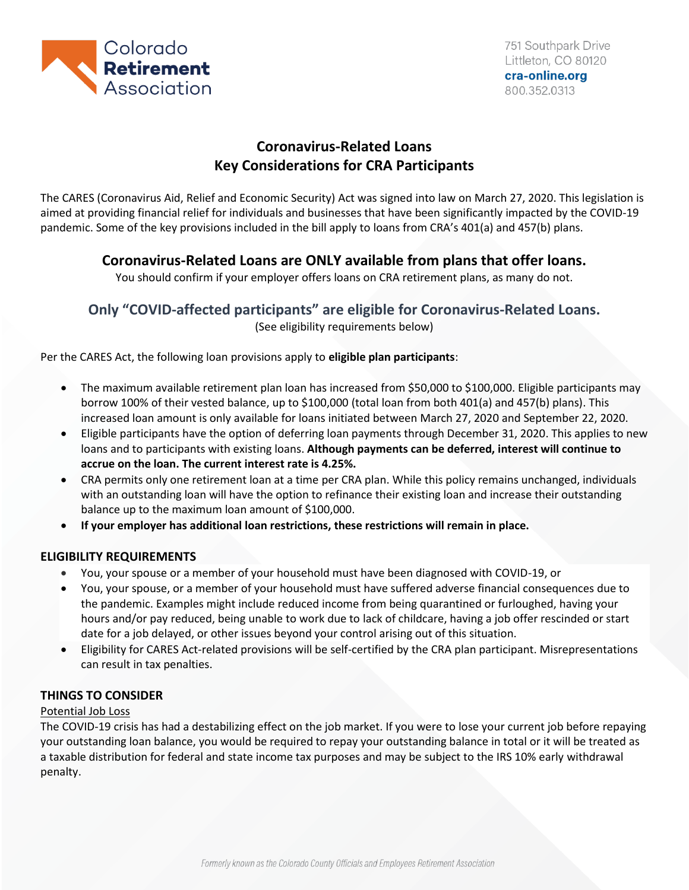

# **Coronavirus-Related Loans Key Considerations for CRA Participants**

The CARES (Coronavirus Aid, Relief and Economic Security) Act was signed into law on March 27, 2020. This legislation is aimed at providing financial relief for individuals and businesses that have been significantly impacted by the COVID-19 pandemic. Some of the key provisions included in the bill apply to loans from CRA's 401(a) and 457(b) plans.

## **Coronavirus-Related Loans are ONLY available from plans that offer loans.**

You should confirm if your employer offers loans on CRA retirement plans, as many do not.

# **Only "COVID-affected participants" are eligible for Coronavirus-Related Loans.**

(See eligibility requirements below)

Per the CARES Act, the following loan provisions apply to **eligible plan participants**:

- The maximum available retirement plan loan has increased from \$50,000 to \$100,000. Eligible participants may borrow 100% of their vested balance, up to \$100,000 (total loan from both 401(a) and 457(b) plans). This increased loan amount is only available for loans initiated between March 27, 2020 and September 22, 2020.
- Eligible participants have the option of deferring loan payments through December 31, 2020. This applies to new loans and to participants with existing loans. **Although payments can be deferred, interest will continue to accrue on the loan. The current interest rate is 4.25%.**
- CRA permits only one retirement loan at a time per CRA plan. While this policy remains unchanged, individuals with an outstanding loan will have the option to refinance their existing loan and increase their outstanding balance up to the maximum loan amount of \$100,000.
- **If your employer has additional loan restrictions, these restrictions will remain in place.**

### **ELIGIBILITY REQUIREMENTS**

- You, your spouse or a member of your household must have been diagnosed with COVID-19, or
- You, your spouse, or a member of your household must have suffered adverse financial consequences due to the pandemic. Examples might include reduced income from being quarantined or furloughed, having your hours and/or pay reduced, being unable to work due to lack of childcare, having a job offer rescinded or start date for a job delayed, or other issues beyond your control arising out of this situation.
- Eligibility for CARES Act-related provisions will be self-certified by the CRA plan participant. Misrepresentations can result in tax penalties.

### **THINGS TO CONSIDER**

### Potential Job Loss

The COVID-19 crisis has had a destabilizing effect on the job market. If you were to lose your current job before repaying your outstanding loan balance, you would be required to repay your outstanding balance in total or it will be treated as a taxable distribution for federal and state income tax purposes and may be subject to the IRS 10% early withdrawal penalty.